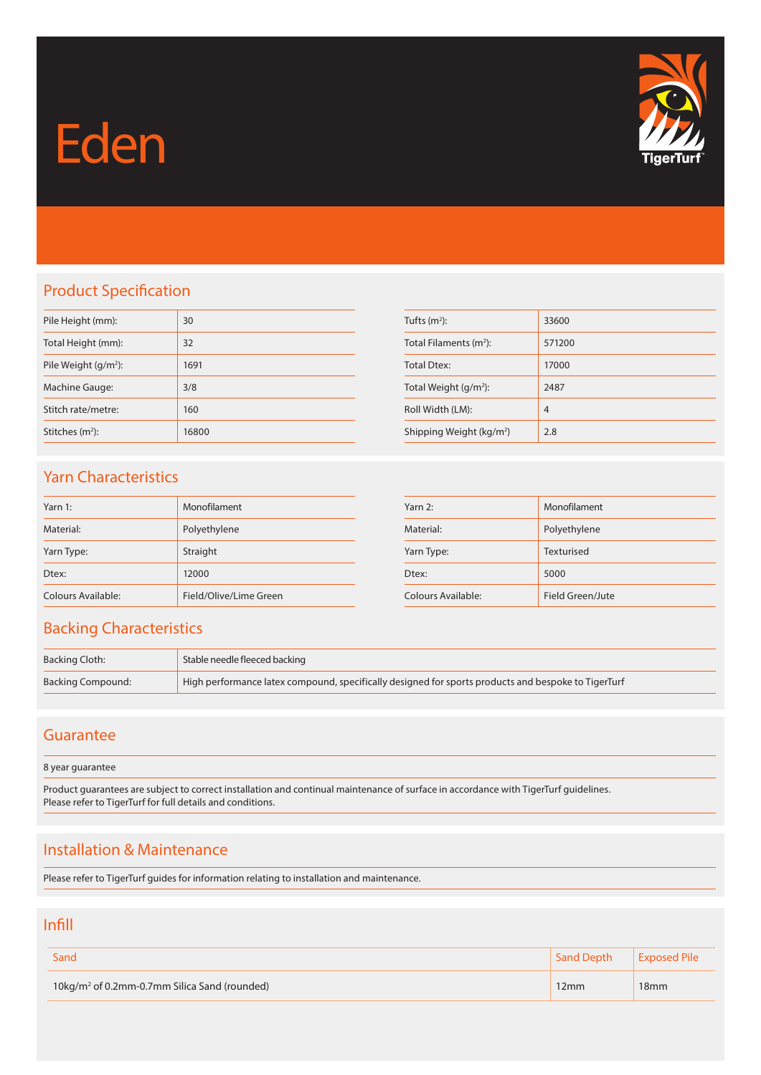# Eden



# Product Specification

| Pile Height (mm):       | 30    |
|-------------------------|-------|
| Total Height (mm):      | 32    |
| Pile Weight $(g/m^2)$ : | 1691  |
| Machine Gauge:          | 3/8   |
| Stitch rate/metre:      | 160   |
| Stitches $(m2)$ :       | 16800 |

| Tufts $(m2)$ :                       | 33600          |
|--------------------------------------|----------------|
| Total Filaments $(m2)$ :             | 571200         |
| <b>Total Dtex:</b>                   | 17000          |
| Total Weight $(g/m^2)$ :             | 2487           |
| Roll Width (LM):                     | $\overline{4}$ |
| Shipping Weight (kg/m <sup>2</sup> ) | 2.8            |

## Yarn Characteristics

| Yarn 1:            | Monofilament           |
|--------------------|------------------------|
| Material:          | Polyethylene           |
| Yarn Type:         | Straight               |
| Dtex:              | 12000                  |
| Colours Available: | Field/Olive/Lime Green |

| Yarn 2:            | Monofilament     |
|--------------------|------------------|
| Material:          | Polyethylene     |
| Yarn Type:         | Texturised       |
| Dtex:              | 5000             |
| Colours Available: | Field Green/Jute |

### Backing Characteristics

| Backing Cloth:    | Stable needle fleeced backing                                                                       |
|-------------------|-----------------------------------------------------------------------------------------------------|
| Backing Compound: | High performance latex compound, specifically designed for sports products and bespoke to TigerTurf |

#### Guarantee

8 year guarantee

Product guarantees are subject to correct installation and continual maintenance of surface in accordance with TigerTurf guidelines. Please refer to TigerTurf for full details and conditions.

## Installation & Maintenance

Please refer to TigerTurf guides for information relating to installation and maintenance.

#### Infill

| Sand                                                     | <b>Sand Depth</b> | <b>Exposed Pile</b> |
|----------------------------------------------------------|-------------------|---------------------|
| 10kg/m <sup>2</sup> of 0.2mm-0.7mm Silica Sand (rounded) | 12mm              | 18 <sub>mm</sub>    |